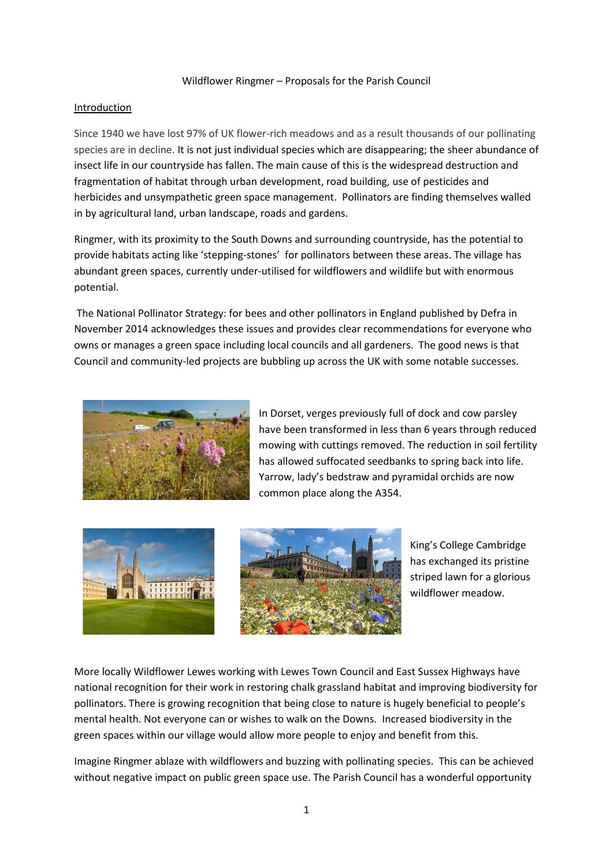### Wildflower Ringmer – Proposals for the Parish Council

### Introduction

Since 1940 we have lost 97% of UK flower-rich meadows and as a result thousands of our pollinating species are in decline. It is not just individual species which are disappearing; the sheer abundance of insect life in our countryside has fallen. The main cause of this is the widespread destruction and fragmentation of habitat through urban development, road building, use of pesticides and herbicides and unsympathetic green space management. Pollinators are finding themselves walled in by agricultural land, urban landscape, roads and gardens.

Ringmer, with its proximity to the South Downs and surrounding countryside, has the potential to provide habitats acting like 'stepping-stones' for pollinators between these areas. The village has abundant green spaces, currently under-utilised for wildflowers and wildlife but with enormous potential.

The National Pollinator Strategy: for bees and other pollinators in England published by Defra in November 2014 acknowledges these issues and provides clear recommendations for everyone who owns or manages a green space including local councils and all gardeners. The good news is that Council and community-led projects are bubbling up across the UK with some notable successes.



In Dorset, verges previously full of dock and cow parsley have been transformed in less than 6 years through reduced mowing with cuttings removed. The reduction in soil fertility has allowed suffocated seedbanks to spring back into life. Yarrow, lady's bedstraw and pyramidal orchids are now common place along the A354.





King's College Cambridge has exchanged its pristine striped lawn for a glorious wildflower meadow.

More locally Wildflower Lewes working with Lewes Town Council and East Sussex Highways have national recognition for their work in restoring chalk grassland habitat and improving biodiversity for pollinators. There is growing recognition that being close to nature is hugely beneficial to people's mental health. Not everyone can or wishes to walk on the Downs. Increased biodiversity in the green spaces within our village would allow more people to enjoy and benefit from this.

Imagine Ringmer ablaze with wildflowers and buzzing with pollinating species. This can be achieved without negative impact on public green space use. The Parish Council has a wonderful opportunity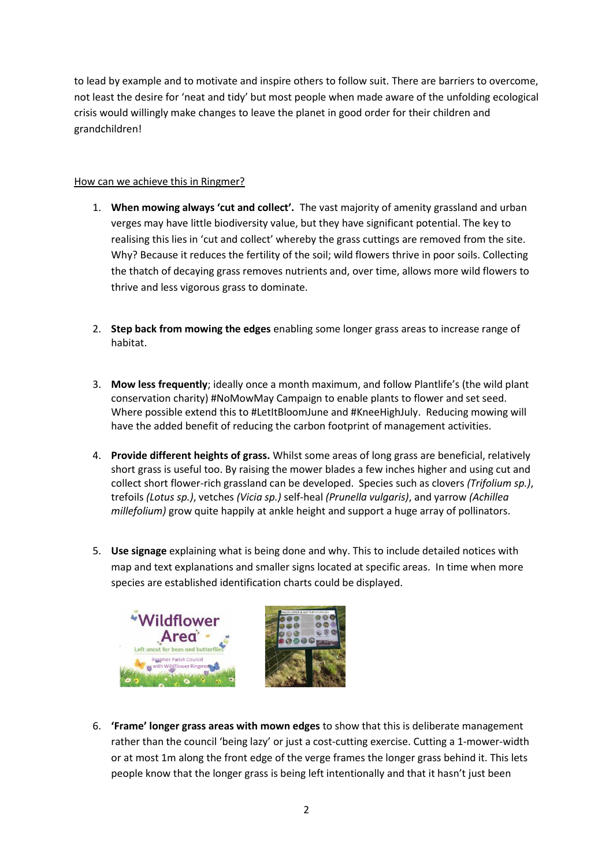to lead by example and to motivate and inspire others to follow suit. There are barriers to overcome, not least the desire for 'neat and tidy' but most people when made aware of the unfolding ecological crisis would willingly make changes to leave the planet in good order for their children and grandchildren!

# How can we achieve this in Ringmer?

- 1. **When mowing always 'cut and collect'.** The vast majority of amenity grassland and urban verges may have little biodiversity value, but they have significant potential. The key to realising this lies in 'cut and collect' whereby the grass cuttings are removed from the site. Why? Because it reduces the fertility of the soil; wild flowers thrive in poor soils. Collecting the thatch of decaying grass removes nutrients and, over time, allows more wild flowers to thrive and less vigorous grass to dominate.
- 2. **Step back from mowing the edges** enabling some longer grass areas to increase range of habitat.
- 3. **Mow less frequently**; ideally once a month maximum, and follow Plantlife's (the wild plant conservation charity) #NoMowMay Campaign to enable plants to flower and set seed. Where possible extend this to #LetItBloomJune and #KneeHighJuly. Reducing mowing will have the added benefit of reducing the carbon footprint of management activities.
- 4. **Provide different heights of grass.** Whilst some areas of long grass are beneficial, relatively short grass is useful too. By raising the mower blades a few inches higher and using cut and collect short flower-rich grassland can be developed. Species such as clovers *(Trifolium sp.)*, trefoils *(Lotus sp.)*, vetches *(Vicia sp.)* self-heal *(Prunella vulgaris)*, and yarrow *(Achillea millefolium)* grow quite happily at ankle height and support a huge array of pollinators.
- 5. **Use signage** explaining what is being done and why. This to include detailed notices with map and text explanations and smaller signs located at specific areas. In time when more species are established identification charts could be displayed.



6. **'Frame' longer grass areas with mown edges** to show that this is deliberate management rather than the council 'being lazy' or just a cost-cutting exercise. Cutting a 1-mower-width or at most 1m along the front edge of the verge frames the longer grass behind it. This lets people know that the longer grass is being left intentionally and that it hasn't just been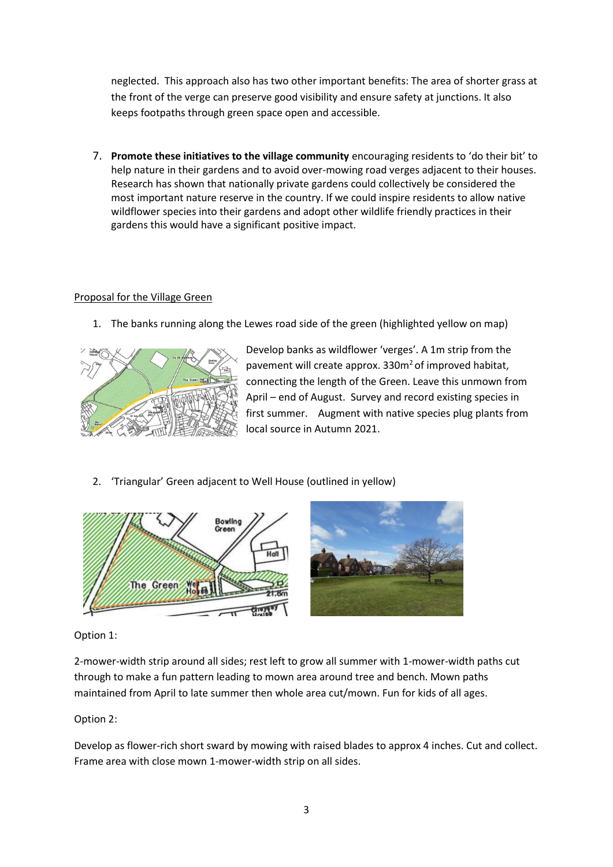neglected. This approach also has two other important benefits: The area of shorter grass at the front of the verge can preserve good visibility and ensure safety at junctions. It also keeps footpaths through green space open and accessible.

7. **Promote these initiatives to the village community** encouraging residents to 'do their bit' to help nature in their gardens and to avoid over-mowing road verges adjacent to their houses. Research has shown that nationally private gardens could collectively be considered the most important nature reserve in the country. If we could inspire residents to allow native wildflower species into their gardens and adopt other wildlife friendly practices in their gardens this would have a significant positive impact.

### Proposal for the Village Green

1. The banks running along the Lewes road side of the green (highlighted yellow on map)



Develop banks as wildflower 'verges'. A 1m strip from the pavement will create approx. 330m<sup>2</sup> of improved habitat, connecting the length of the Green. Leave this unmown from April – end of August. Survey and record existing species in first summer. Augment with native species plug plants from local source in Autumn 2021.

2. 'Triangular' Green adjacent to Well House (outlined in yellow)



Option 1:

2-mower-width strip around all sides; rest left to grow all summer with 1-mower-width paths cut through to make a fun pattern leading to mown area around tree and bench. Mown paths maintained from April to late summer then whole area cut/mown. Fun for kids of all ages.

# Option 2:

Develop as flower-rich short sward by mowing with raised blades to approx 4 inches. Cut and collect. Frame area with close mown 1-mower-width strip on all sides.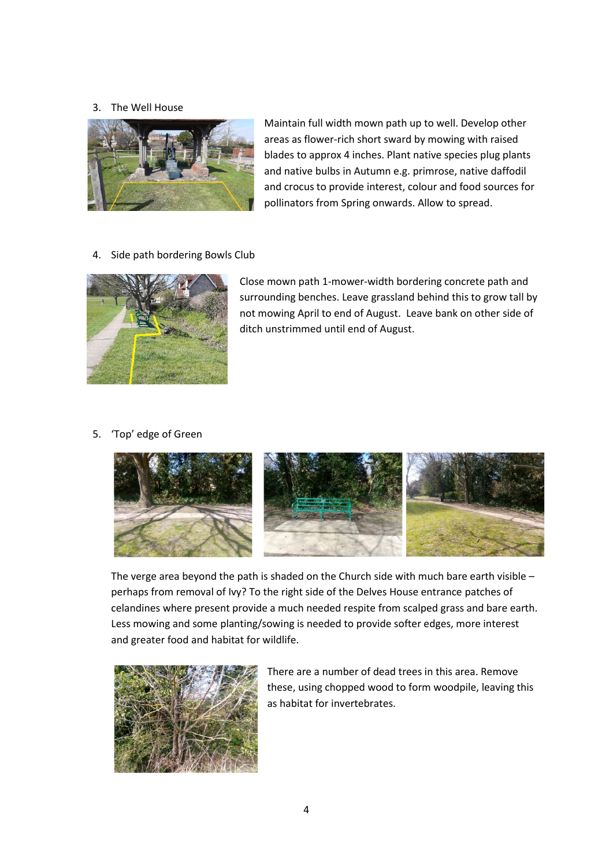### 3. The Well House



Maintain full width mown path up to well. Develop other areas as flower-rich short sward by mowing with raised blades to approx 4 inches. Plant native species plug plants and native bulbs in Autumn e.g. primrose, native daffodil and crocus to provide interest, colour and food sources for pollinators from Spring onwards. Allow to spread.

4. Side path bordering Bowls Club



Close mown path 1-mower-width bordering concrete path and surrounding benches. Leave grassland behind this to grow tall by not mowing April to end of August. Leave bank on other side of ditch unstrimmed until end of August.

## 5. 'Top' edge of Green



The verge area beyond the path is shaded on the Church side with much bare earth visible – perhaps from removal of Ivy? To the right side of the Delves House entrance patches of celandines where present provide a much needed respite from scalped grass and bare earth. Less mowing and some planting/sowing is needed to provide softer edges, more interest and greater food and habitat for wildlife.



There are a number of dead trees in this area. Remove these, using chopped wood to form woodpile, leaving this as habitat for invertebrates.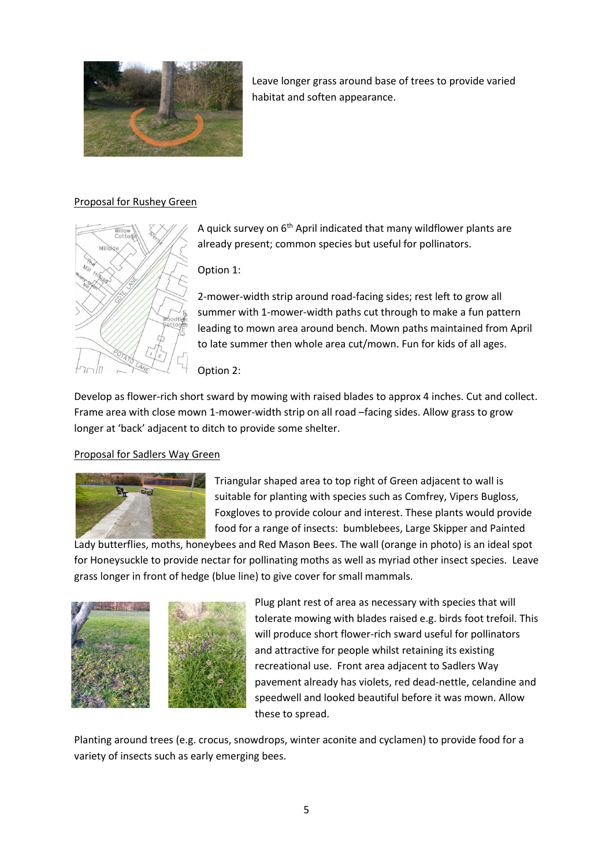

Leave longer grass around base of trees to provide varied habitat and soften appearance.

# Proposal for Rushey Green



A quick survey on  $6<sup>th</sup>$  April indicated that many wildflower plants are already present; common species but useful for pollinators.

Option 1:

2-mower-width strip around road-facing sides; rest left to grow all summer with 1-mower-width paths cut through to make a fun pattern leading to mown area around bench. Mown paths maintained from April to late summer then whole area cut/mown. Fun for kids of all ages.

Option 2:

Develop as flower-rich short sward by mowing with raised blades to approx 4 inches. Cut and collect. Frame area with close mown 1-mower-width strip on all road –facing sides. Allow grass to grow longer at 'back' adjacent to ditch to provide some shelter.

# Proposal for Sadlers Way Green



Triangular shaped area to top right of Green adjacent to wall is suitable for planting with species such as Comfrey, Vipers Bugloss, Foxgloves to provide colour and interest. These plants would provide food for a range of insects: bumblebees, Large Skipper and Painted

Lady butterflies, moths, honeybees and Red Mason Bees. The wall (orange in photo) is an ideal spot for Honeysuckle to provide nectar for pollinating moths as well as myriad other insect species. Leave grass longer in front of hedge (blue line) to give cover for small mammals.



Plug plant rest of area as necessary with species that will tolerate mowing with blades raised e.g. birds foot trefoil. This will produce short flower-rich sward useful for pollinators and attractive for people whilst retaining its existing recreational use. Front area adjacent to Sadlers Way pavement already has violets, red dead-nettle, celandine and speedwell and looked beautiful before it was mown. Allow these to spread.

Planting around trees (e.g. crocus, snowdrops, winter aconite and cyclamen) to provide food for a variety of insects such as early emerging bees.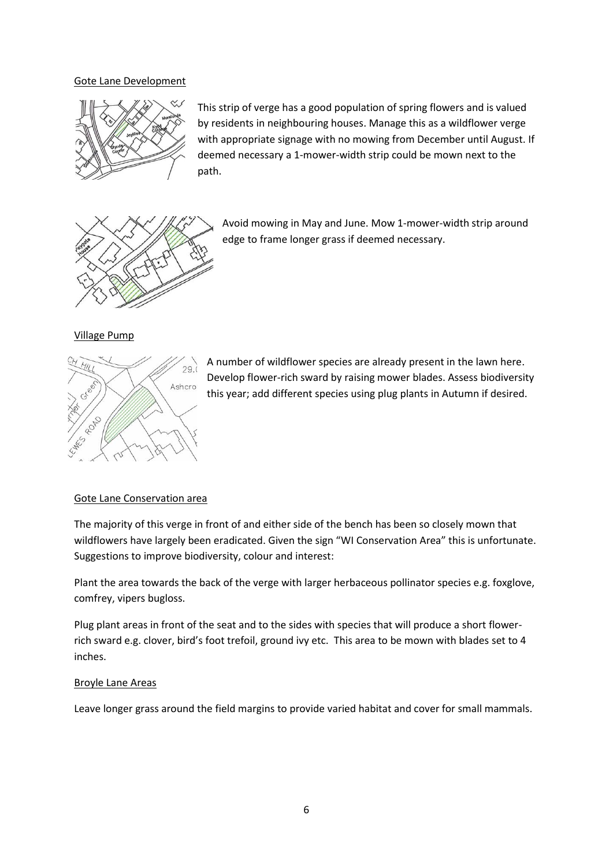#### Gote Lane Development



This strip of verge has a good population of spring flowers and is valued by residents in neighbouring houses. Manage this as a wildflower verge with appropriate signage with no mowing from December until August. If deemed necessary a 1-mower-width strip could be mown next to the path.



Avoid mowing in May and June. Mow 1-mower-width strip around edge to frame longer grass if deemed necessary.

#### Village Pump



A number of wildflower species are already present in the lawn here. Develop flower-rich sward by raising mower blades. Assess biodiversity this year; add different species using plug plants in Autumn if desired.

#### Gote Lane Conservation area

The majority of this verge in front of and either side of the bench has been so closely mown that wildflowers have largely been eradicated. Given the sign "WI Conservation Area" this is unfortunate. Suggestions to improve biodiversity, colour and interest:

Plant the area towards the back of the verge with larger herbaceous pollinator species e.g. foxglove, comfrey, vipers bugloss.

Plug plant areas in front of the seat and to the sides with species that will produce a short flowerrich sward e.g. clover, bird's foot trefoil, ground ivy etc. This area to be mown with blades set to 4 inches.

#### Broyle Lane Areas

Leave longer grass around the field margins to provide varied habitat and cover for small mammals.